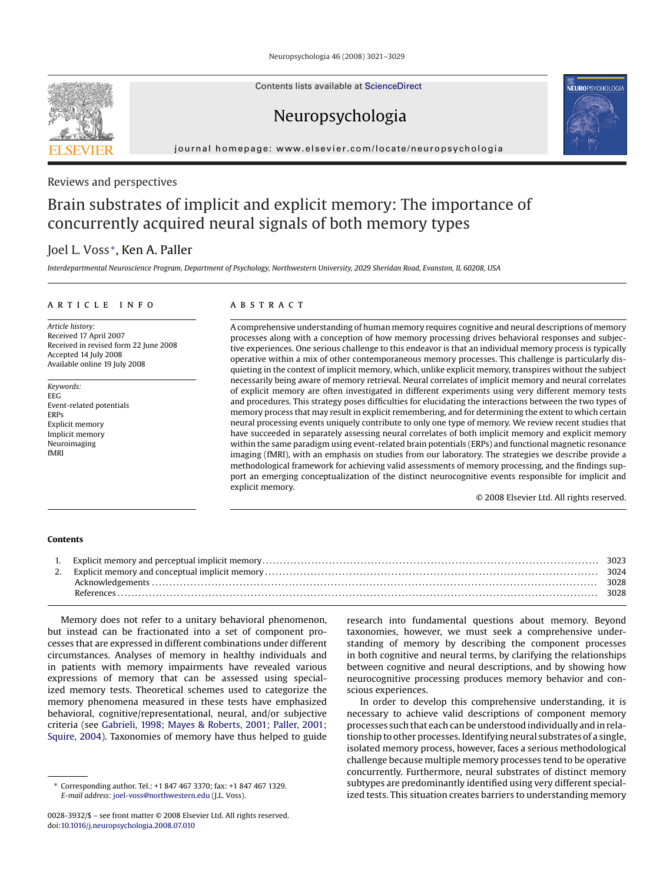Neuropsychologia 46 (2008) 3021–3029

Contents lists available at [ScienceDirect](http://www.sciencedirect.com/science/journal/00283932)

Neuropsychologia



journal homepage: www.elsevier.com/locate/neuropsychologia

### Reviews and perspectives

# Brain substrates of implicit and explicit memory: The importance of concurrently acquired neural signals of both memory types

## Joel L. Voss <sup>∗</sup>, Ken A. Paller

*Interdepartmental Neuroscience Program, Department of Psychology, Northwestern University, 2029 Sheridan Road, Evanston, IL 60208, USA*

#### article info

*Article history:* Received 17 April 2007 Received in revised form 22 June 2008 Accepted 14 July 2008 Available online 19 July 2008

*Keywords:* EEG Event-related potentials ERPs Explicit memory Implicit memory Neuroimaging fMRI

#### **ABSTRACT**

A comprehensive understanding of human memory requires cognitive and neural descriptions of memory processes along with a conception of how memory processing drives behavioral responses and subjective experiences. One serious challenge to this endeavor is that an individual memory process is typically operative within a mix of other contemporaneous memory processes. This challenge is particularly disquieting in the context of implicit memory, which, unlike explicit memory, transpires without the subject necessarily being aware of memory retrieval. Neural correlates of implicit memory and neural correlates of explicit memory are often investigated in different experiments using very different memory tests and procedures. This strategy poses difficulties for elucidating the interactions between the two types of memory process that may result in explicit remembering, and for determining the extent to which certain neural processing events uniquely contribute to only one type of memory. We review recent studies that have succeeded in separately assessing neural correlates of both implicit memory and explicit memory within the same paradigm using event-related brain potentials (ERPs) and functional magnetic resonance imaging (fMRI), with an emphasis on studies from our laboratory. The strategies we describe provide a methodological framework for achieving valid assessments of memory processing, and the findings support an emerging conceptualization of the distinct neurocognitive events responsible for implicit and explicit memory.

© 2008 Elsevier Ltd. All rights reserved.

#### **Contents**

| References |  | 3023<br>3024<br>3028 |
|------------|--|----------------------|
|------------|--|----------------------|

Memory does not refer to a unitary behavioral phenomenon, but instead can be fractionated into a set of component processes that are expressed in different combinations under different circumstances. Analyses of memory in healthy individuals and in patients with memory impairments have revealed various expressions of memory that can be assessed using specialized memory tests. Theoretical schemes used to categorize the memory phenomena measured in these tests have emphasized behavioral, cognitive/representational, neural, and/or subjective criteria (see [Gabrieli, 1998;](#page-7-0) [Mayes & Roberts, 2001;](#page-7-0) [Paller, 2001;](#page-8-0) [Squire, 2004\).](#page-8-0) Taxonomies of memory have thus helped to guide

research into fundamental questions about memory. Beyond taxonomies, however, we must seek a comprehensive understanding of memory by describing the component processes in both cognitive and neural terms, by clarifying the relationships between cognitive and neural descriptions, and by showing how neurocognitive processing produces memory behavior and conscious experiences.

In order to develop this comprehensive understanding, it is necessary to achieve valid descriptions of component memory processes such that each can be understood individually and in relationship to other processes. Identifying neural substrates of a single, isolated memory process, however, faces a serious methodological challenge because multiple memory processes tend to be operative concurrently. Furthermore, neural substrates of distinct memory subtypes are predominantly identified using very different specialized tests. This situation creates barriers to understanding memory

<sup>∗</sup> Corresponding author. Tel.: +1 847 467 3370; fax: +1 847 467 1329. *E-mail address:* [joel-voss@northwestern.edu](mailto:joel-voss@northwestern.edu) (J.L. Voss).

<sup>0028-3932/\$ –</sup> see front matter © 2008 Elsevier Ltd. All rights reserved. doi:[10.1016/j.neuropsychologia.2008.07.010](dx.doi.org/10.1016/j.neuropsychologia.2008.07.010)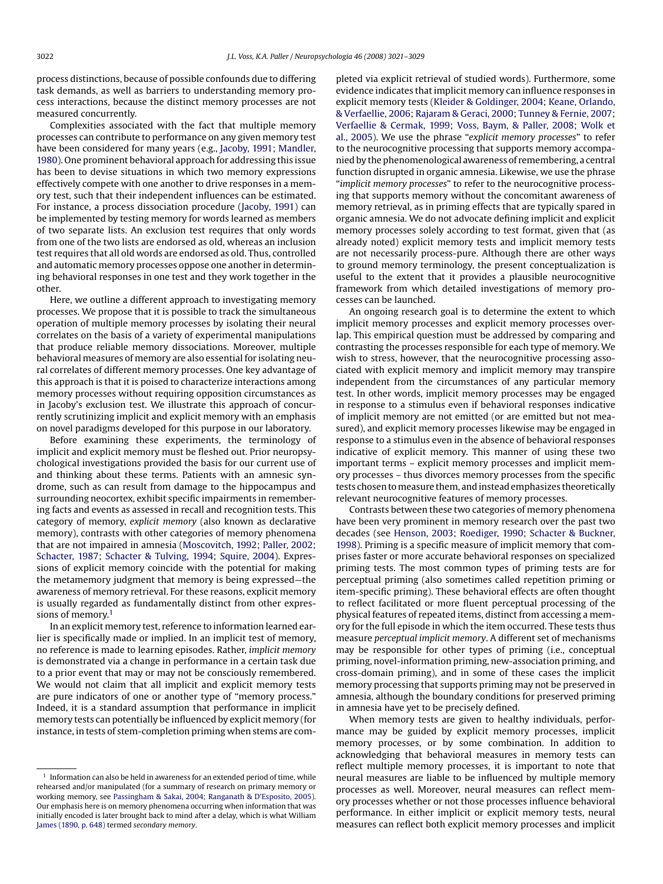process distinctions, because of possible confounds due to differing task demands, as well as barriers to understanding memory process interactions, because the distinct memory processes are not measured concurrently.

Complexities associated with the fact that multiple memory processes can contribute to performance on any given memory test have been considered for many years (e.g., [Jacoby, 1991; Mandler,](#page-7-0) [1980\).](#page-7-0) One prominent behavioral approach for addressing this issue has been to devise situations in which two memory expressions effectively compete with one another to drive responses in a memory test, such that their independent influences can be estimated. For instance, a process dissociation procedure [\(Jacoby, 1991\)](#page-7-0) can be implemented by testing memory for words learned as members of two separate lists. An exclusion test requires that only words from one of the two lists are endorsed as old, whereas an inclusion test requires that all old words are endorsed as old. Thus, controlled and automatic memory processes oppose one another in determining behavioral responses in one test and they work together in the other.

Here, we outline a different approach to investigating memory processes. We propose that it is possible to track the simultaneous operation of multiple memory processes by isolating their neural correlates on the basis of a variety of experimental manipulations that produce reliable memory dissociations. Moreover, multiple behavioral measures of memory are also essential for isolating neural correlates of different memory processes. One key advantage of this approach is that it is poised to characterize interactions among memory processes without requiring opposition circumstances as in Jacoby's exclusion test. We illustrate this approach of concurrently scrutinizing implicit and explicit memory with an emphasis on novel paradigms developed for this purpose in our laboratory.

Before examining these experiments, the terminology of implicit and explicit memory must be fleshed out. Prior neuropsychological investigations provided the basis for our current use of and thinking about these terms. Patients with an amnesic syndrome, such as can result from damage to the hippocampus and surrounding neocortex, exhibit specific impairments in remembering facts and events as assessed in recall and recognition tests. This category of memory, *explicit memory* (also known as declarative memory), contrasts with other categories of memory phenomena that are not impaired in amnesia [\(Moscovitch, 1992; Paller, 2002;](#page-7-0) [Schacter, 1987;](#page-7-0) [Schacter & Tulving, 1994;](#page-8-0) [Squire, 2004\).](#page-8-0) Expressions of explicit memory coincide with the potential for making the metamemory judgment that memory is being expressed—the awareness of memory retrieval. For these reasons, explicit memory is usually regarded as fundamentally distinct from other expressions of memory.<sup>1</sup>

In an explicit memory test, reference to information learned earlier is specifically made or implied. In an implicit test of memory, no reference is made to learning episodes. Rather, *implicit memory* is demonstrated via a change in performance in a certain task due to a prior event that may or may not be consciously remembered. We would not claim that all implicit and explicit memory tests are pure indicators of one or another type of "memory process." Indeed, it is a standard assumption that performance in implicit memory tests can potentially be influenced by explicit memory (for instance, in tests of stem-completion priming when stems are completed via explicit retrieval of studied words). Furthermore, some evidence indicates that implicit memory can influence responses in explicit memory tests ([Kleider & Goldinger, 2004;](#page-7-0) [Keane, Orlando,](#page-7-0) [& Verfaellie, 2006;](#page-7-0) [Rajaram & Geraci, 2000;](#page-8-0) [Tunney & Fernie, 2007;](#page-8-0) [Verfaellie & Cermak, 1999;](#page-8-0) [Voss, Baym, & Paller, 2008;](#page-8-0) [Wolk et](#page-8-0) [al., 2005\).](#page-8-0) We use the phrase "*explicit memory processes*" to refer to the neurocognitive processing that supports memory accompanied by the phenomenological awareness of remembering, a central function disrupted in organic amnesia. Likewise, we use the phrase "*implicit memory processes*" to refer to the neurocognitive processing that supports memory without the concomitant awareness of memory retrieval, as in priming effects that are typically spared in organic amnesia. We do not advocate defining implicit and explicit memory processes solely according to test format, given that (as already noted) explicit memory tests and implicit memory tests are not necessarily process-pure. Although there are other ways to ground memory terminology, the present conceptualization is useful to the extent that it provides a plausible neurocognitive framework from which detailed investigations of memory processes can be launched.

An ongoing research goal is to determine the extent to which implicit memory processes and explicit memory processes overlap. This empirical question must be addressed by comparing and contrasting the processes responsible for each type of memory. We wish to stress, however, that the neurocognitive processing associated with explicit memory and implicit memory may transpire independent from the circumstances of any particular memory test. In other words, implicit memory processes may be engaged in response to a stimulus even if behavioral responses indicative of implicit memory are not emitted (or are emitted but not measured), and explicit memory processes likewise may be engaged in response to a stimulus even in the absence of behavioral responses indicative of explicit memory. This manner of using these two important terms – explicit memory processes and implicit memory processes – thus divorces memory processes from the specific tests chosen to measure them, and instead emphasizes theoretically relevant neurocognitive features of memory processes.

Contrasts between these two categories of memory phenomena have been very prominent in memory research over the past two decades (see [Henson, 2003; Roediger, 1990;](#page-7-0) [Schacter & Buckner,](#page-8-0) [1998\).](#page-8-0) Priming is a specific measure of implicit memory that comprises faster or more accurate behavioral responses on specialized priming tests. The most common types of priming tests are for perceptual priming (also sometimes called repetition priming or item-specific priming). These behavioral effects are often thought to reflect facilitated or more fluent perceptual processing of the physical features of repeated items, distinct from accessing a memory for the full episode in which the item occurred. These tests thus measure *perceptual implicit memory*. A different set of mechanisms may be responsible for other types of priming (i.e., conceptual priming, novel-information priming, new-association priming, and cross-domain priming), and in some of these cases the implicit memory processing that supports priming may not be preserved in amnesia, although the boundary conditions for preserved priming in amnesia have yet to be precisely defined.

When memory tests are given to healthy individuals, performance may be guided by explicit memory processes, implicit memory processes, or by some combination. In addition to acknowledging that behavioral measures in memory tests can reflect multiple memory processes, it is important to note that neural measures are liable to be influenced by multiple memory processes as well. Moreover, neural measures can reflect memory processes whether or not those processes influence behavioral performance. In either implicit or explicit memory tests, neural measures can reflect both explicit memory processes and implicit

 $^{\rm 1}$  Information can also be held in awareness for an extended period of time, while rehearsed and/or manipulated (for a summary of research on primary memory or working memory, see [Passingham & Sakai, 2004;](#page-8-0) [Ranganath & D'Esposito, 2005\).](#page-8-0) Our emphasis here is on memory phenomena occurring when information that was initially encoded is later brought back to mind after a delay, which is what William [James \(1890, p. 648\)](#page-7-0) termed *secondary memory*.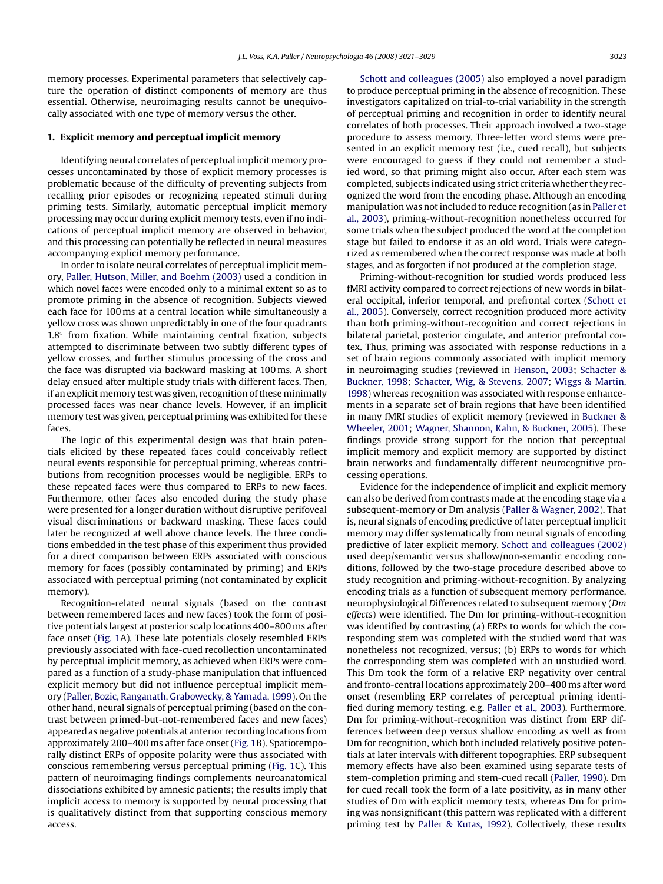memory processes. Experimental parameters that selectively capture the operation of distinct components of memory are thus essential. Otherwise, neuroimaging results cannot be unequivocally associated with one type of memory versus the other.

#### **1. Explicit memory and perceptual implicit memory**

Identifying neural correlates of perceptual implicit memory processes uncontaminated by those of explicit memory processes is problematic because of the difficulty of preventing subjects from recalling prior episodes or recognizing repeated stimuli during priming tests. Similarly, automatic perceptual implicit memory processing may occur during explicit memory tests, even if no indications of perceptual implicit memory are observed in behavior, and this processing can potentially be reflected in neural measures accompanying explicit memory performance.

In order to isolate neural correlates of perceptual implicit memory, [Paller, Hutson, Miller, and Boehm \(2003\)](#page-8-0) used a condition in which novel faces were encoded only to a minimal extent so as to promote priming in the absence of recognition. Subjects viewed each face for 100 ms at a central location while simultaneously a yellow cross was shown unpredictably in one of the four quadrants 1.8◦ from fixation. While maintaining central fixation, subjects attempted to discriminate between two subtly different types of yellow crosses, and further stimulus processing of the cross and the face was disrupted via backward masking at 100 ms. A short delay ensued after multiple study trials with different faces. Then, if an explicit memory test was given, recognition of these minimally processed faces was near chance levels. However, if an implicit memory test was given, perceptual priming was exhibited for these faces.

The logic of this experimental design was that brain potentials elicited by these repeated faces could conceivably reflect neural events responsible for perceptual priming, whereas contributions from recognition processes would be negligible. ERPs to these repeated faces were thus compared to ERPs to new faces. Furthermore, other faces also encoded during the study phase were presented for a longer duration without disruptive perifoveal visual discriminations or backward masking. These faces could later be recognized at well above chance levels. The three conditions embedded in the test phase of this experiment thus provided for a direct comparison between ERPs associated with conscious memory for faces (possibly contaminated by priming) and ERPs associated with perceptual priming (not contaminated by explicit memory).

Recognition-related neural signals (based on the contrast between remembered faces and new faces) took the form of positive potentials largest at posterior scalp locations 400–800 ms after face onset [\(Fig. 1A](#page-3-0)). These late potentials closely resembled ERPs previously associated with face-cued recollection uncontaminated by perceptual implicit memory, as achieved when ERPs were compared as a function of a study-phase manipulation that influenced explicit memory but did not influence perceptual implicit memory [\(Paller, Bozic, Ranganath, Grabowecky, & Yamada, 1999\).](#page-8-0) On the other hand, neural signals of perceptual priming (based on the contrast between primed-but-not-remembered faces and new faces) appeared as negative potentials at anterior recording locations from approximately 200–400 ms after face onset ([Fig. 1B\)](#page-3-0). Spatiotemporally distinct ERPs of opposite polarity were thus associated with conscious remembering versus perceptual priming ([Fig. 1C](#page-3-0)). This pattern of neuroimaging findings complements neuroanatomical dissociations exhibited by amnesic patients; the results imply that implicit access to memory is supported by neural processing that is qualitatively distinct from that supporting conscious memory access.

[Schott and colleagues \(2005\)](#page-8-0) also employed a novel paradigm to produce perceptual priming in the absence of recognition. These investigators capitalized on trial-to-trial variability in the strength of perceptual priming and recognition in order to identify neural correlates of both processes. Their approach involved a two-stage procedure to assess memory. Three-letter word stems were presented in an explicit memory test (i.e., cued recall), but subjects were encouraged to guess if they could not remember a studied word, so that priming might also occur. After each stem was completed, subjects indicated using strict criteria whether they recognized the word from the encoding phase. Although an encoding manipulation was not included to reduce recognition (as in [Paller et](#page-8-0) [al., 2003\),](#page-8-0) priming-without-recognition nonetheless occurred for some trials when the subject produced the word at the completion stage but failed to endorse it as an old word. Trials were categorized as remembered when the correct response was made at both stages, and as forgotten if not produced at the completion stage.

Priming-without-recognition for studied words produced less fMRI activity compared to correct rejections of new words in bilateral occipital, inferior temporal, and prefrontal cortex [\(Schott et](#page-8-0) [al., 2005\).](#page-8-0) Conversely, correct recognition produced more activity than both priming-without-recognition and correct rejections in bilateral parietal, posterior cingulate, and anterior prefrontal cortex. Thus, priming was associated with response reductions in a set of brain regions commonly associated with implicit memory in neuroimaging studies (reviewed in [Henson, 2003;](#page-7-0) [Schacter &](#page-8-0) [Buckner, 1998;](#page-8-0) [Schacter, Wig, & Stevens, 2007;](#page-8-0) [Wiggs & Martin,](#page-8-0) [1998\)](#page-8-0) whereas recognition was associated with response enhancements in a separate set of brain regions that have been identified in many fMRI studies of explicit memory (reviewed in [Buckner &](#page-7-0) [Wheeler, 2001;](#page-7-0) [Wagner, Shannon, Kahn, & Buckner, 2005\).](#page-8-0) These findings provide strong support for the notion that perceptual implicit memory and explicit memory are supported by distinct brain networks and fundamentally different neurocognitive processing operations.

Evidence for the independence of implicit and explicit memory can also be derived from contrasts made at the encoding stage via a subsequent-memory or Dm analysis [\(Paller & Wagner, 2002\).](#page-8-0) That is, neural signals of encoding predictive of later perceptual implicit memory may differ systematically from neural signals of encoding predictive of later explicit memory. [Schott and colleagues \(2002\)](#page-8-0) used deep/semantic versus shallow/non-semantic encoding conditions, followed by the two-stage procedure described above to study recognition and priming-without-recognition. By analyzing encoding trials as a function of subsequent memory performance, neurophysiological *D*ifferences related to subsequent *m*emory (*Dm effects*) were identified. The Dm for priming-without-recognition was identified by contrasting (a) ERPs to words for which the corresponding stem was completed with the studied word that was nonetheless not recognized, versus; (b) ERPs to words for which the corresponding stem was completed with an unstudied word. This Dm took the form of a relative ERP negativity over central and fronto-central locations approximately 200–400 ms after word onset (resembling ERP correlates of perceptual priming identified during memory testing, e.g. [Paller et al., 2003\).](#page-8-0) Furthermore, Dm for priming-without-recognition was distinct from ERP differences between deep versus shallow encoding as well as from Dm for recognition, which both included relatively positive potentials at later intervals with different topographies. ERP subsequent memory effects have also been examined using separate tests of stem-completion priming and stem-cued recall ([Paller, 1990\).](#page-8-0) Dm for cued recall took the form of a late positivity, as in many other studies of Dm with explicit memory tests, whereas Dm for priming was nonsignificant (this pattern was replicated with a different priming test by [Paller & Kutas, 1992\).](#page-8-0) Collectively, these results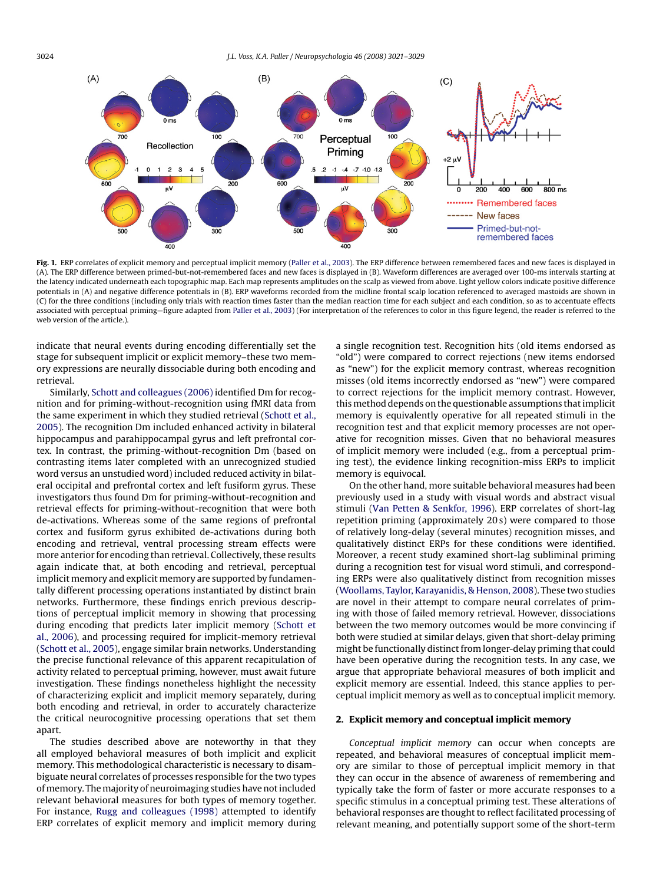<span id="page-3-0"></span>

Fig. 1. ERP correlates of explicit memory and perceptual implicit memory ([Paller et al., 2003\).](#page-8-0) The ERP difference between remembered faces and new faces is displayed in (A). The ERP difference between primed-but-not-remembered faces and new faces is displayed in (B). Waveform differences are averaged over 100-ms intervals starting at the latency indicated underneath each topographic map. Each map represents amplitudes on the scalp as viewed from above. Light yellow colors indicate positive difference potentials in (A) and negative difference potentials in (B). ERP waveforms recorded from the midline frontal scalp location referenced to averaged mastoids are shown in (C) for the three conditions (including only trials with reaction times faster than the median reaction time for each subject and each condition, so as to accentuate effects associated with perceptual priming-figure adapted from [Paller et al., 2003\) \(](#page-8-0)For interpretation of the references to color in this figure legend, the reader is referred to the web version of the article.).

indicate that neural events during encoding differentially set the stage for subsequent implicit or explicit memory–these two memory expressions are neurally dissociable during both encoding and retrieval.

Similarly, [Schott and colleagues \(2006\)](#page-8-0) identified Dm for recognition and for priming-without-recognition using fMRI data from the same experiment in which they studied retrieval ([Schott et al.,](#page-8-0) [2005\).](#page-8-0) The recognition Dm included enhanced activity in bilateral hippocampus and parahippocampal gyrus and left prefrontal cortex. In contrast, the priming-without-recognition Dm (based on contrasting items later completed with an unrecognized studied word versus an unstudied word) included reduced activity in bilateral occipital and prefrontal cortex and left fusiform gyrus. These investigators thus found Dm for priming-without-recognition and retrieval effects for priming-without-recognition that were both de-activations. Whereas some of the same regions of prefrontal cortex and fusiform gyrus exhibited de-activations during both encoding and retrieval, ventral processing stream effects were more anterior for encoding than retrieval. Collectively, these results again indicate that, at both encoding and retrieval, perceptual implicit memory and explicit memory are supported by fundamentally different processing operations instantiated by distinct brain networks. Furthermore, these findings enrich previous descriptions of perceptual implicit memory in showing that processing during encoding that predicts later implicit memory ([Schott et](#page-8-0) [al., 2006\),](#page-8-0) and processing required for implicit-memory retrieval ([Schott et al., 2005\),](#page-8-0) engage similar brain networks. Understanding the precise functional relevance of this apparent recapitulation of activity related to perceptual priming, however, must await future investigation. These findings nonetheless highlight the necessity of characterizing explicit and implicit memory separately, during both encoding and retrieval, in order to accurately characterize the critical neurocognitive processing operations that set them apart.

The studies described above are noteworthy in that they all employed behavioral measures of both implicit and explicit memory. This methodological characteristic is necessary to disambiguate neural correlates of processes responsible for the two types of memory. The majority of neuroimaging studies have not included relevant behavioral measures for both types of memory together. For instance, [Rugg and colleagues \(1998\)](#page-8-0) attempted to identify ERP correlates of explicit memory and implicit memory during a single recognition test. Recognition hits (old items endorsed as "old") were compared to correct rejections (new items endorsed as "new") for the explicit memory contrast, whereas recognition misses (old items incorrectly endorsed as "new") were compared to correct rejections for the implicit memory contrast. However, this method depends on the questionable assumptions that implicit memory is equivalently operative for all repeated stimuli in the recognition test and that explicit memory processes are not operative for recognition misses. Given that no behavioral measures of implicit memory were included (e.g., from a perceptual priming test), the evidence linking recognition-miss ERPs to implicit memory is equivocal.

On the other hand, more suitable behavioral measures had been previously used in a study with visual words and abstract visual stimuli ([Van Petten & Senkfor, 1996\).](#page-8-0) ERP correlates of short-lag repetition priming (approximately 20 s) were compared to those of relatively long-delay (several minutes) recognition misses, and qualitatively distinct ERPs for these conditions were identified. Moreover, a recent study examined short-lag subliminal priming during a recognition test for visual word stimuli, and corresponding ERPs were also qualitatively distinct from recognition misses ([Woollams, Taylor, Karayanidis, & Henson, 2008\).](#page-8-0) These two studies are novel in their attempt to compare neural correlates of priming with those of failed memory retrieval. However, dissociations between the two memory outcomes would be more convincing if both were studied at similar delays, given that short-delay priming might be functionally distinct from longer-delay priming that could have been operative during the recognition tests. In any case, we argue that appropriate behavioral measures of both implicit and explicit memory are essential. Indeed, this stance applies to perceptual implicit memory as well as to conceptual implicit memory.

#### **2. Explicit memory and conceptual implicit memory**

*Conceptual implicit memory* can occur when concepts are repeated, and behavioral measures of conceptual implicit memory are similar to those of perceptual implicit memory in that they can occur in the absence of awareness of remembering and typically take the form of faster or more accurate responses to a specific stimulus in a conceptual priming test. These alterations of behavioral responses are thought to reflect facilitated processing of relevant meaning, and potentially support some of the short-term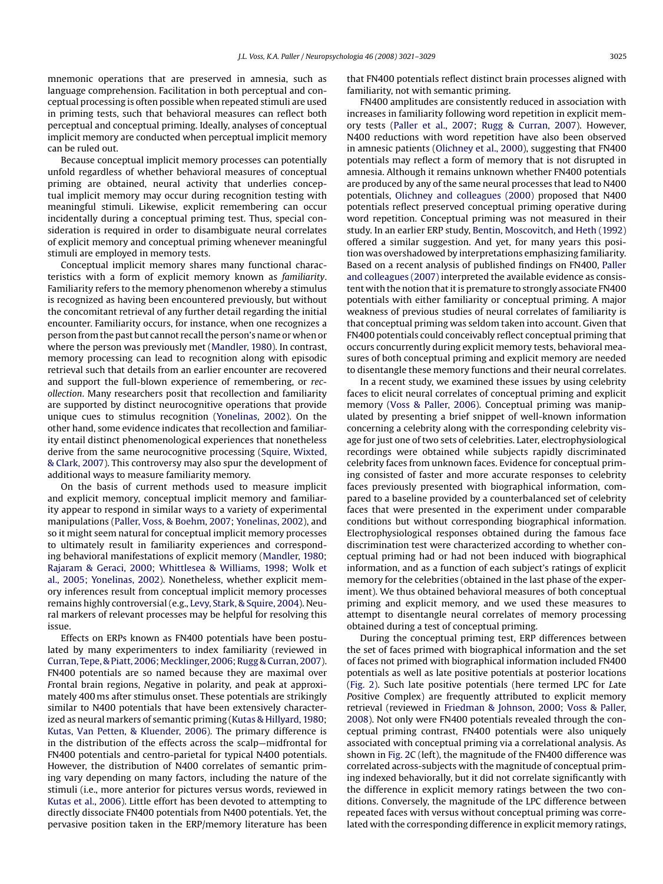mnemonic operations that are preserved in amnesia, such as language comprehension. Facilitation in both perceptual and conceptual processing is often possible when repeated stimuli are used in priming tests, such that behavioral measures can reflect both perceptual and conceptual priming. Ideally, analyses of conceptual implicit memory are conducted when perceptual implicit memory can be ruled out.

Because conceptual implicit memory processes can potentially unfold regardless of whether behavioral measures of conceptual priming are obtained, neural activity that underlies conceptual implicit memory may occur during recognition testing with meaningful stimuli. Likewise, explicit remembering can occur incidentally during a conceptual priming test. Thus, special consideration is required in order to disambiguate neural correlates of explicit memory and conceptual priming whenever meaningful stimuli are employed in memory tests.

Conceptual implicit memory shares many functional characteristics with a form of explicit memory known as *familiarity*. Familiarity refers to the memory phenomenon whereby a stimulus is recognized as having been encountered previously, but without the concomitant retrieval of any further detail regarding the initial encounter. Familiarity occurs, for instance, when one recognizes a person from the past but cannot recall the person's name or when or where the person was previously met ([Mandler, 1980\).](#page-7-0) In contrast, memory processing can lead to recognition along with episodic retrieval such that details from an earlier encounter are recovered and support the full-blown experience of remembering, or *recollection*. Many researchers posit that recollection and familiarity are supported by distinct neurocognitive operations that provide unique cues to stimulus recognition ([Yonelinas, 2002\).](#page-8-0) On the other hand, some evidence indicates that recollection and familiarity entail distinct phenomenological experiences that nonetheless derive from the same neurocognitive processing ([Squire, Wixted,](#page-8-0) [& Clark, 2007\).](#page-8-0) This controversy may also spur the development of additional ways to measure familiarity memory.

On the basis of current methods used to measure implicit and explicit memory, conceptual implicit memory and familiarity appear to respond in similar ways to a variety of experimental manipulations [\(Paller, Voss, & Boehm, 2007;](#page-8-0) [Yonelinas, 2002\),](#page-8-0) and so it might seem natural for conceptual implicit memory processes to ultimately result in familiarity experiences and corresponding behavioral manifestations of explicit memory [\(Mandler, 1980;](#page-7-0) [Rajaram & Geraci, 2000;](#page-8-0) [Whittlesea & Williams, 1998;](#page-8-0) [Wolk et](#page-8-0) [al., 2005; Yonelinas, 2002\).](#page-8-0) Nonetheless, whether explicit memory inferences result from conceptual implicit memory processes remains highly controversial (e.g., [Levy, Stark, & Squire, 2004\).](#page-7-0) Neural markers of relevant processes may be helpful for resolving this issue.

Effects on ERPs known as FN400 potentials have been postulated by many experimenters to index familiarity (reviewed in Curran, Tepe, & Piatt, 2006; Mecklinger, 2006; [Rugg & Curran, 2007\).](#page-8-0) FN400 potentials are so named because they are maximal over *F*rontal brain regions, *N*egative in polarity, and peak at approximately 400 ms after stimulus onset. These potentials are strikingly similar to N400 potentials that have been extensively characterized as neural markers of semantic priming [\(Kutas & Hillyard, 1980;](#page-7-0) [Kutas, Van Petten, & Kluender, 2006\).](#page-7-0) The primary difference is in the distribution of the effects across the scalp—midfrontal for FN400 potentials and centro-parietal for typical N400 potentials. However, the distribution of N400 correlates of semantic priming vary depending on many factors, including the nature of the stimuli (i.e., more anterior for pictures versus words, reviewed in [Kutas et al., 2006\).](#page-7-0) Little effort has been devoted to attempting to directly dissociate FN400 potentials from N400 potentials. Yet, the pervasive position taken in the ERP/memory literature has been that FN400 potentials reflect distinct brain processes aligned with familiarity, not with semantic priming.

FN400 amplitudes are consistently reduced in association with increases in familiarity following word repetition in explicit memory tests ([Paller et al., 2007;](#page-8-0) [Rugg & Curran, 2007\).](#page-8-0) However, N400 reductions with word repetition have also been observed in amnesic patients ([Olichney et al., 2000\),](#page-7-0) suggesting that FN400 potentials may reflect a form of memory that is not disrupted in amnesia. Although it remains unknown whether FN400 potentials are produced by any of the same neural processes that lead to N400 potentials, [Olichney and colleagues \(2000\)](#page-7-0) proposed that N400 potentials reflect preserved conceptual priming operative during word repetition. Conceptual priming was not measured in their study. In an earlier ERP study, [Bentin, Moscovitch, and Heth \(1992\)](#page-7-0) offered a similar suggestion. And yet, for many years this position was overshadowed by interpretations emphasizing familiarity. Based on a recent analysis of published findings on FN400, [Paller](#page-8-0) [and colleagues \(2007\)](#page-8-0) interpreted the available evidence as consistent with the notion that it is premature to strongly associate FN400 potentials with either familiarity or conceptual priming. A major weakness of previous studies of neural correlates of familiarity is that conceptual priming was seldom taken into account. Given that FN400 potentials could conceivably reflect conceptual priming that occurs concurrently during explicit memory tests, behavioral measures of both conceptual priming and explicit memory are needed to disentangle these memory functions and their neural correlates.

In a recent study, we examined these issues by using celebrity faces to elicit neural correlates of conceptual priming and explicit memory ([Voss & Paller, 2006\).](#page-8-0) Conceptual priming was manipulated by presenting a brief snippet of well-known information concerning a celebrity along with the corresponding celebrity visage for just one of two sets of celebrities. Later, electrophysiological recordings were obtained while subjects rapidly discriminated celebrity faces from unknown faces. Evidence for conceptual priming consisted of faster and more accurate responses to celebrity faces previously presented with biographical information, compared to a baseline provided by a counterbalanced set of celebrity faces that were presented in the experiment under comparable conditions but without corresponding biographical information. Electrophysiological responses obtained during the famous face discrimination test were characterized according to whether conceptual priming had or had not been induced with biographical information, and as a function of each subject's ratings of explicit memory for the celebrities (obtained in the last phase of the experiment). We thus obtained behavioral measures of both conceptual priming and explicit memory, and we used these measures to attempt to disentangle neural correlates of memory processing obtained during a test of conceptual priming.

During the conceptual priming test, ERP differences between the set of faces primed with biographical information and the set of faces not primed with biographical information included FN400 potentials as well as late positive potentials at posterior locations ([Fig. 2\).](#page-5-0) Such late positive potentials (here termed LPC for *L*ate *P*ositive *C*omplex) are frequently attributed to explicit memory retrieval (reviewed in [Friedman & Johnson, 2000;](#page-7-0) [Voss & Paller,](#page-8-0) [2008\).](#page-8-0) Not only were FN400 potentials revealed through the conceptual priming contrast, FN400 potentials were also uniquely associated with conceptual priming via a correlational analysis. As shown in [Fig. 2C](#page-5-0) (left), the magnitude of the FN400 difference was correlated across-subjects with the magnitude of conceptual priming indexed behaviorally, but it did not correlate significantly with the difference in explicit memory ratings between the two conditions. Conversely, the magnitude of the LPC difference between repeated faces with versus without conceptual priming was correlated with the corresponding difference in explicit memory ratings,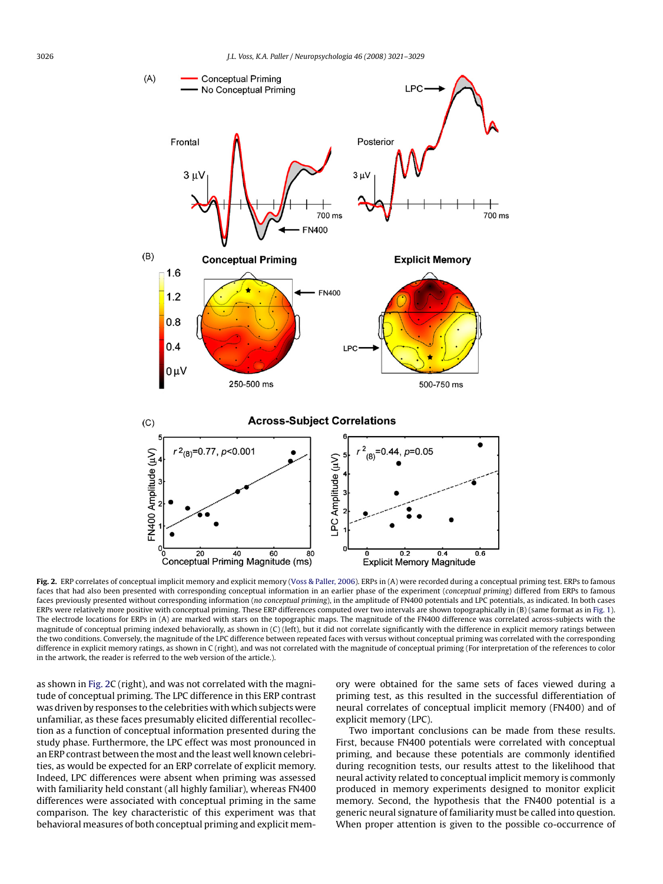<span id="page-5-0"></span>

Fig. 2. ERP correlates of conceptual implicit memory and explicit memory ([Voss & Paller, 2006\).](#page-8-0) ERPs in (A) were recorded during a conceptual priming test. ERPs to famous faces that had also been presented with corresponding conceptual information in an earlier phase of the experiment (*conceptual priming*) differed from ERPs to famous faces previously presented without corresponding information (*no conceptual priming*), in the amplitude of FN400 potentials and LPC potentials, as indicated. In both cases ERPs were relatively more positive with conceptual priming. These ERP differences computed over two intervals are shown topographically in (B) (same format as in [Fig. 1\).](#page-3-0) The electrode locations for ERPs in (A) are marked with stars on the topographic maps. The magnitude of the FN400 difference was correlated across-subjects with the magnitude of conceptual priming indexed behaviorally, as shown in (C) (left), but it did not correlate significantly with the difference in explicit memory ratings between the two conditions. Conversely, the magnitude of the LPC difference between repeated faces with versus without conceptual priming was correlated with the corresponding difference in explicit memory ratings, as shown in C (right), and was not correlated with the magnitude of conceptual priming (For interpretation of the references to color in the artwork, the reader is referred to the web version of the article.).

as shown in Fig. 2C (right), and was not correlated with the magnitude of conceptual priming. The LPC difference in this ERP contrast was driven by responses to the celebrities with which subjects were unfamiliar, as these faces presumably elicited differential recollection as a function of conceptual information presented during the study phase. Furthermore, the LPC effect was most pronounced in an ERP contrast between the most and the least well known celebrities, as would be expected for an ERP correlate of explicit memory. Indeed, LPC differences were absent when priming was assessed with familiarity held constant (all highly familiar), whereas FN400 differences were associated with conceptual priming in the same comparison. The key characteristic of this experiment was that behavioral measures of both conceptual priming and explicit memory were obtained for the same sets of faces viewed during a priming test, as this resulted in the successful differentiation of neural correlates of conceptual implicit memory (FN400) and of explicit memory (LPC).

Two important conclusions can be made from these results. First, because FN400 potentials were correlated with conceptual priming, and because these potentials are commonly identified during recognition tests, our results attest to the likelihood that neural activity related to conceptual implicit memory is commonly produced in memory experiments designed to monitor explicit memory. Second, the hypothesis that the FN400 potential is a generic neural signature of familiarity must be called into question. When proper attention is given to the possible co-occurrence of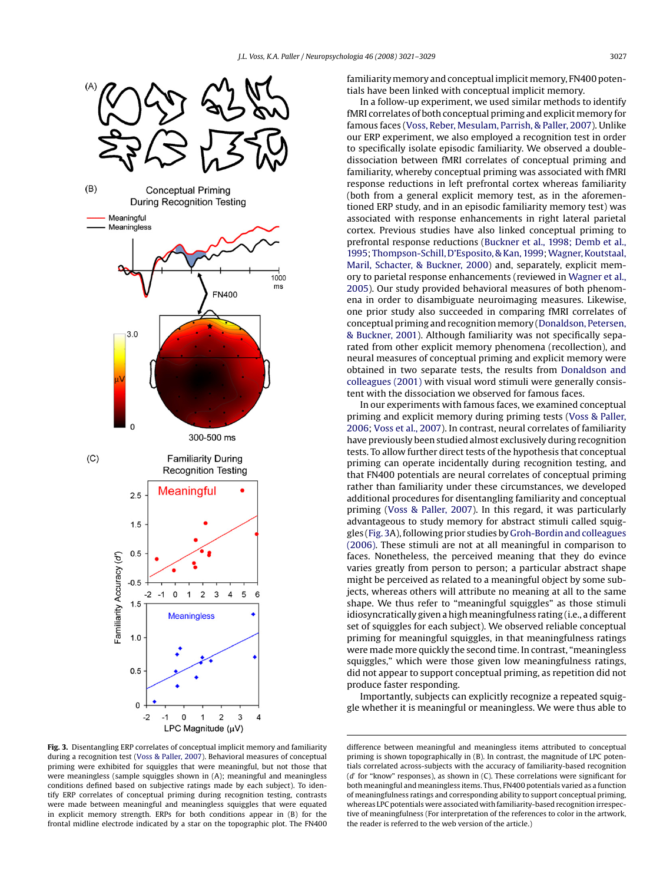<span id="page-6-0"></span>

**Fig. 3.** Disentangling ERP correlates of conceptual implicit memory and familiarity during a recognition test ([Voss & Paller, 2007\).](#page-8-0) Behavioral measures of conceptual priming were exhibited for squiggles that were meaningful, but not those that were meaningless (sample squiggles shown in (A); meaningful and meaningless conditions defined based on subjective ratings made by each subject). To identify ERP correlates of conceptual priming during recognition testing, contrasts were made between meaningful and meaningless squiggles that were equated in explicit memory strength. ERPs for both conditions appear in (B) for the frontal midline electrode indicated by a star on the topographic plot. The FN400

familiarity memory and conceptual implicit memory, FN400 potentials have been linked with conceptual implicit memory.

In a follow-up experiment, we used similar methods to identify fMRI correlates of both conceptual priming and explicit memory for famous faces [\(Voss, Reber, Mesulam, Parrish, & Paller, 2007\).](#page-8-0) Unlike our ERP experiment, we also employed a recognition test in order to specifically isolate episodic familiarity. We observed a doubledissociation between fMRI correlates of conceptual priming and familiarity, whereby conceptual priming was associated with fMRI response reductions in left prefrontal cortex whereas familiarity (both from a general explicit memory test, as in the aforementioned ERP study, and in an episodic familiarity memory test) was associated with response enhancements in right lateral parietal cortex. Previous studies have also linked conceptual priming to prefrontal response reductions [\(Buckner et al., 1998; Demb et al.,](#page-7-0) [1995;](#page-7-0) [Thompson-Schill, D'Esposito, & Kan, 1999;Wagner, Koutstaal,](#page-8-0) [Maril, Schacter, & Buckner, 2000\)](#page-8-0) and, separately, explicit memory to parietal response enhancements (reviewed in [Wagner et al.,](#page-8-0) [2005\).](#page-8-0) Our study provided behavioral measures of both phenomena in order to disambiguate neuroimaging measures. Likewise, one prior study also succeeded in comparing fMRI correlates of conceptual priming and recognition memory [\(Donaldson, Petersen,](#page-7-0) [& Buckner, 2001\).](#page-7-0) Although familiarity was not specifically separated from other explicit memory phenomena (recollection), and neural measures of conceptual priming and explicit memory were obtained in two separate tests, the results from [Donaldson and](#page-7-0) [colleagues \(2001\)](#page-7-0) with visual word stimuli were generally consistent with the dissociation we observed for famous faces.

In our experiments with famous faces, we examined conceptual priming and explicit memory during priming tests [\(Voss & Paller,](#page-8-0) [2006;](#page-8-0) [Voss et al., 2007\).](#page-8-0) In contrast, neural correlates of familiarity have previously been studied almost exclusively during recognition tests. To allow further direct tests of the hypothesis that conceptual priming can operate incidentally during recognition testing, and that FN400 potentials are neural correlates of conceptual priming rather than familiarity under these circumstances, we developed additional procedures for disentangling familiarity and conceptual priming ([Voss & Paller, 2007\).](#page-8-0) In this regard, it was particularly advantageous to study memory for abstract stimuli called squiggles (Fig. 3A), following prior studies by [Groh-Bordin and colleagues](#page-7-0) [\(2006\).](#page-7-0) These stimuli are not at all meaningful in comparison to faces. Nonetheless, the perceived meaning that they do evince varies greatly from person to person; a particular abstract shape might be perceived as related to a meaningful object by some subjects, whereas others will attribute no meaning at all to the same shape. We thus refer to "meaningful squiggles" as those stimuli idiosyncratically given a high meaningfulness rating (i.e., a different set of squiggles for each subject). We observed reliable conceptual priming for meaningful squiggles, in that meaningfulness ratings were made more quickly the second time. In contrast, "meaningless squiggles," which were those given low meaningfulness ratings, did not appear to support conceptual priming, as repetition did not produce faster responding.

Importantly, subjects can explicitly recognize a repeated squiggle whether it is meaningful or meaningless. We were thus able to

difference between meaningful and meaningless items attributed to conceptual priming is shown topographically in (B). In contrast, the magnitude of LPC potentials correlated across-subjects with the accuracy of familiarity-based recognition (*d'* for "know" responses), as shown in (C). These correlations were significant for both meaningful and meaningless items. Thus, FN400 potentials varied as a function of meaningfulness ratings and corresponding ability to support conceptual priming, whereas LPC potentials were associated with familiarity-based recognition irrespective of meaningfulness (For interpretation of the references to color in the artwork, the reader is referred to the web version of the article.)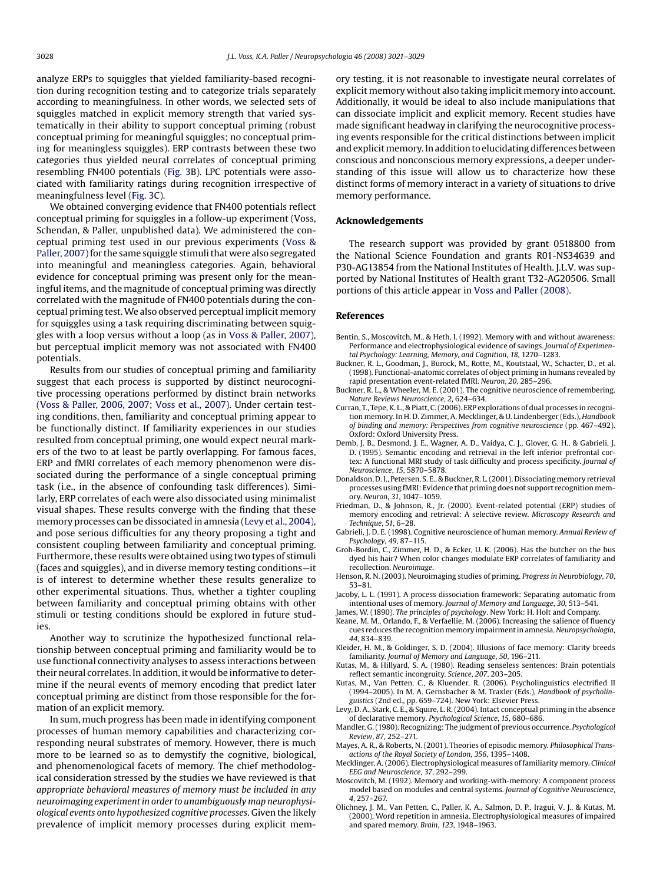<span id="page-7-0"></span>analyze ERPs to squiggles that yielded familiarity-based recognition during recognition testing and to categorize trials separately according to meaningfulness. In other words, we selected sets of squiggles matched in explicit memory strength that varied systematically in their ability to support conceptual priming (robust conceptual priming for meaningful squiggles; no conceptual priming for meaningless squiggles). ERP contrasts between these two categories thus yielded neural correlates of conceptual priming resembling FN400 potentials ([Fig. 3B](#page-6-0)). LPC potentials were associated with familiarity ratings during recognition irrespective of meaningfulness level [\(Fig. 3C](#page-6-0)).

We obtained converging evidence that FN400 potentials reflect conceptual priming for squiggles in a follow-up experiment (Voss, Schendan, & Paller, unpublished data). We administered the conceptual priming test used in our previous experiments ([Voss &](#page-8-0) [Paller, 2007\) f](#page-8-0)or the same squiggle stimuli that were also segregated into meaningful and meaningless categories. Again, behavioral evidence for conceptual priming was present only for the meaningful items, and the magnitude of conceptual priming was directly correlated with the magnitude of FN400 potentials during the conceptual priming test.We also observed perceptual implicit memory for squiggles using a task requiring discriminating between squiggles with a loop versus without a loop (as in [Voss & Paller, 2007\),](#page-8-0) but perceptual implicit memory was not associated with FN400 potentials.

Results from our studies of conceptual priming and familiarity suggest that each process is supported by distinct neurocognitive processing operations performed by distinct brain networks ([Voss & Paller, 2006, 2007;](#page-8-0) [Voss et al., 2007\).](#page-8-0) Under certain testing conditions, then, familiarity and conceptual priming appear to be functionally distinct. If familiarity experiences in our studies resulted from conceptual priming, one would expect neural markers of the two to at least be partly overlapping. For famous faces, ERP and fMRI correlates of each memory phenomenon were dissociated during the performance of a single conceptual priming task (i.e., in the absence of confounding task differences). Similarly, ERP correlates of each were also dissociated using minimalist visual shapes. These results converge with the finding that these memory processes can be dissociated in amnesia (Levy et al., 2004), and pose serious difficulties for any theory proposing a tight and consistent coupling between familiarity and conceptual priming. Furthermore, these results were obtained using two types of stimuli (faces and squiggles), and in diverse memory testing conditions—it is of interest to determine whether these results generalize to other experimental situations. Thus, whether a tighter coupling between familiarity and conceptual priming obtains with other stimuli or testing conditions should be explored in future studies.

Another way to scrutinize the hypothesized functional relationship between conceptual priming and familiarity would be to use functional connectivity analyses to assess interactions between their neural correlates. In addition, it would be informative to determine if the neural events of memory encoding that predict later conceptual priming are distinct from those responsible for the formation of an explicit memory.

In sum, much progress has been made in identifying component processes of human memory capabilities and characterizing corresponding neural substrates of memory. However, there is much more to be learned so as to demystify the cognitive, biological, and phenomenological facets of memory. The chief methodological consideration stressed by the studies we have reviewed is that *appropriate behavioral measures of memory must be included in any neuroimaging experiment in order to unambiguously map neurophysiological events onto hypothesized cognitive processes*. Given the likely prevalence of implicit memory processes during explicit memory testing, it is not reasonable to investigate neural correlates of explicit memory without also taking implicit memory into account. Additionally, it would be ideal to also include manipulations that can dissociate implicit and explicit memory. Recent studies have made significant headway in clarifying the neurocognitive processing events responsible for the critical distinctions between implicit and explicit memory. In addition to elucidating differences between conscious and nonconscious memory expressions, a deeper understanding of this issue will allow us to characterize how these distinct forms of memory interact in a variety of situations to drive memory performance.

#### **Acknowledgements**

The research support was provided by grant 0518800 from the National Science Foundation and grants R01-NS34639 and P30-AG13854 from the National Institutes of Health. J.L.V. was supported by National Institutes of Health grant T32-AG20506. Small portions of this article appear in [Voss and Paller \(2008\).](#page-8-0)

#### **References**

- Bentin, S., Moscovitch, M., & Heth, I. (1992). Memory with and without awareness: Performance and electrophysiological evidence of savings. *Journal of Experimental Psychology: Learning, Memory, and Cognition*, *18*, 1270–1283.
- Buckner, R. L., Goodman, J., Burock, M., Rotte, M., Koutstaal, W., Schacter, D., et al. (1998). Functional-anatomic correlates of object priming in humans revealed by rapid presentation event-related fMRI. *Neuron*, *20*, 285–296.
- Buckner, R. L., & Wheeler, M. E. (2001). The cognitive neuroscience of remembering. *Nature Reviews Neuroscience*, *2*, 624–634.
- Curran, T., Tepe, K. L., & Piatt, C. (2006). ERP explorations of dual processes in recognition memory. In H. D. Zimmer, A. Mecklinger, & U. Lindenberger (Eds.), *Handbook of binding and memory: Perspectives from cognitive neuroscience* (pp. 467–492). Oxford: Oxford University Press.
- Demb, J. B., Desmond, J. E., Wagner, A. D., Vaidya, C. J., Glover, G. H., & Gabrieli, J. D. (1995). Semantic encoding and retrieval in the left inferior prefrontal cortex: A functional MRI study of task difficulty and process specificity. *Journal of Neuroscience*, *15*, 5870–5878.
- Donaldson, D. I., Petersen, S. E., & Buckner, R. L. (2001). Dissociating memory retrieval processes using fMRI: Evidence that priming does not support recognition memory. *Neuron*, *31*, 1047–1059.
- Friedman, D., & Johnson, R., Jr. (2000). Event-related potential (ERP) studies of memory encoding and retrieval: A selective review. *Microscopy Research and Technique*, *51*, 6–28.
- Gabrieli, J. D. E. (1998). Cognitive neuroscience of human memory. *Annual Review of Psychology*, *49*, 87–115.
- Groh-Bordin, C., Zimmer, H. D., & Ecker, U. K. (2006). Has the butcher on the bus dyed his hair? When color changes modulate ERP correlates of familiarity and recollection. *Neuroimage*.
- Henson, R. N. (2003). Neuroimaging studies of priming. *Progress in Neurobiology*, *70*, 53–81.
- Jacoby, L. L. (1991). A process dissociation framework: Separating automatic from intentional uses of memory. *Journal of Memory and Language*, *30*, 513–541.
- James, W. (1890). *The principles of psychology*. New York: H. Holt and Company.
- Keane, M. M., Orlando, F., & Verfaellie, M. (2006). Increasing the salience of fluency cues reduces the recognition memory impairment in amnesia. *Neuropsychologia*, *44*, 834–839.
- Kleider, H. M., & Goldinger, S. D. (2004). Illusions of face memory: Clarity breeds familiarity. *Journal of Memory and Language*, *50*, 196–211.
- Kutas, M., & Hillyard, S. A. (1980). Reading senseless sentences: Brain potentials reflect semantic incongruity. *Science*, *207*, 203–205.
- Kutas, M., Van Petten, C., & Kluender, R. (2006). Psycholinguistics electrified II (1994–2005). In M. A. Gernsbacher & M. Traxler (Eds.), *Handbook of psycholinguistics* (2nd ed., pp. 659–724). New York: Elsevier Press.
- Levy, D. A., Stark, C. E., & Squire, L. R. (2004). Intact conceptual priming in the absence of declarative memory. *Psychological Science*, *15*, 680–686.
- Mandler, G. (1980). Recognizing: The judgment of previous occurrence. *Psychological Review*, *87*, 252–271.
- Mayes, A. R., & Roberts, N. (2001). Theories of episodic memory. *Philosophical Transactions of the Royal Society of London*, *356*, 1395–1408.
- Mecklinger, A. (2006). Electrophysiological measures of familiarity memory. *Clinical EEG and Neuroscience*, *37*, 292–299.
- Moscovitch, M. (1992). Memory and working-with-memory: A component process model based on modules and central systems. *Journal of Cognitive Neuroscience*, *4*, 257–267.
- Olichney, J. M., Van Petten, C., Paller, K. A., Salmon, D. P., Iragui, V. J., & Kutas, M. (2000). Word repetition in amnesia. Electrophysiological measures of impaired and spared memory. *Brain*, *123*, 1948–1963.